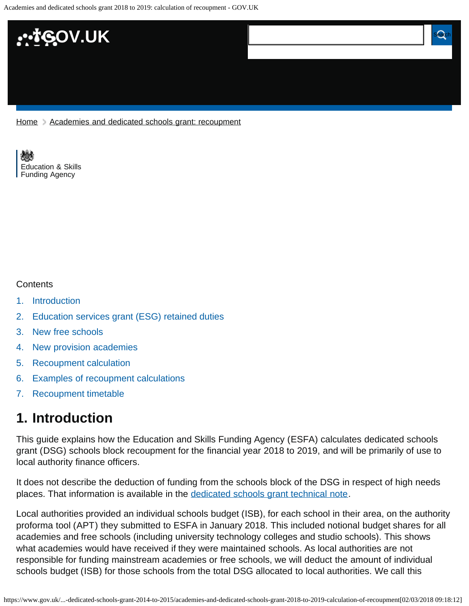Academies and dedicated schools grant 2018 to 2019: calculation of recoupment - GOV.UK



[Home](https://www.gov.uk/) > [Academies and dedicated schools grant: recoupment](https://www.gov.uk/government/publications/academies-and-the-dedicated-schools-grant-2014-to-2015)

[Education & Skills](https://www.gov.uk/government/organisations/education-and-skills-funding-agency)  [Funding Agency](https://www.gov.uk/government/organisations/education-and-skills-funding-agency)

#### **Contents**

- [1.](#page-0-0) [Introduction](#page-0-0)
- [2.](#page-1-0) [Education services grant \(ESG\) retained duties](#page-1-0)
- [3.](#page-1-1) [New free schools](#page-1-1)
- [4.](#page-1-2) [New provision academies](#page-1-2)
- [5.](#page-2-0) [Recoupment calculation](#page-2-0)
- [6.](#page-3-0) [Examples of recoupment calculations](#page-3-0)
- [7.](#page-4-0) [Recoupment timetable](#page-4-0)

### <span id="page-0-0"></span>**1. Introduction**

This guide explains how the Education and Skills Funding Agency (ESFA) calculates dedicated schools grant (DSG) schools block recoupment for the financial year 2018 to 2019, and will be primarily of use to local authority finance officers.

It does not describe the deduction of funding from the schools block of the DSG in respect of high needs places. That information is available in the [dedicated schools grant technical note.](https://www.gov.uk/government/publications/dedicated-schools-grant-dsg-2018-to-2019)

Local authorities provided an individual schools budget (ISB), for each school in their area, on the authority proforma tool (APT) they submitted to ESFA in January 2018. This included notional budget shares for all academies and free schools (including university technology colleges and studio schools). This shows what academies would have received if they were maintained schools. As local authorities are not responsible for funding mainstream academies or free schools, we will deduct the amount of individual schools budget (ISB) for those schools from the total DSG allocated to local authorities. We call this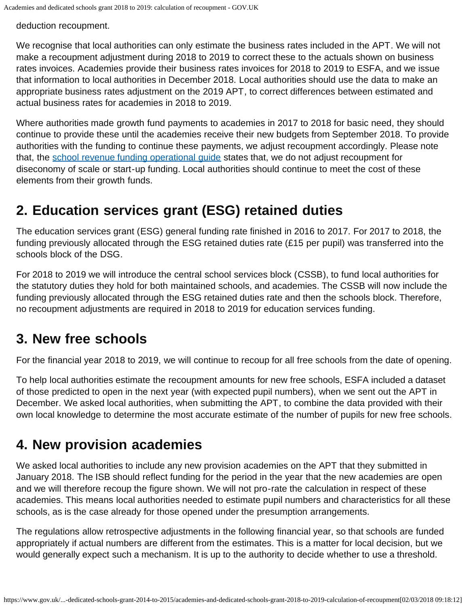deduction recoupment.

We recognise that local authorities can only estimate the business rates included in the APT. We will not make a recoupment adjustment during 2018 to 2019 to correct these to the actuals shown on business rates invoices. Academies provide their business rates invoices for 2018 to 2019 to ESFA, and we issue that information to local authorities in December 2018. Local authorities should use the data to make an appropriate business rates adjustment on the 2019 APT, to correct differences between estimated and actual business rates for academies in 2018 to 2019.

Where authorities made growth fund payments to academies in 2017 to 2018 for basic need, they should continue to provide these until the academies receive their new budgets from September 2018. To provide authorities with the funding to continue these payments, we adjust recoupment accordingly. Please note that, the [school revenue funding operational guide](https://www.gov.uk/guidance/pre-16-schools-funding-guidance-for-2018-to-2019) states that, we do not adjust recoupment for diseconomy of scale or start-up funding. Local authorities should continue to meet the cost of these elements from their growth funds.

## <span id="page-1-0"></span>**2. Education services grant (ESG) retained duties**

The education services grant (ESG) general funding rate finished in 2016 to 2017. For 2017 to 2018, the funding previously allocated through the ESG retained duties rate (£15 per pupil) was transferred into the schools block of the DSG.

For 2018 to 2019 we will introduce the central school services block (CSSB), to fund local authorities for the statutory duties they hold for both maintained schools, and academies. The CSSB will now include the funding previously allocated through the ESG retained duties rate and then the schools block. Therefore, no recoupment adjustments are required in 2018 to 2019 for education services funding.

## <span id="page-1-1"></span>**3. New free schools**

For the financial year 2018 to 2019, we will continue to recoup for all free schools from the date of opening.

To help local authorities estimate the recoupment amounts for new free schools, ESFA included a dataset of those predicted to open in the next year (with expected pupil numbers), when we sent out the APT in December. We asked local authorities, when submitting the APT, to combine the data provided with their own local knowledge to determine the most accurate estimate of the number of pupils for new free schools.

## <span id="page-1-2"></span>**4. New provision academies**

We asked local authorities to include any new provision academies on the APT that they submitted in January 2018. The ISB should reflect funding for the period in the year that the new academies are open and we will therefore recoup the figure shown. We will not pro-rate the calculation in respect of these academies. This means local authorities needed to estimate pupil numbers and characteristics for all these schools, as is the case already for those opened under the presumption arrangements.

The regulations allow retrospective adjustments in the following financial year, so that schools are funded appropriately if actual numbers are different from the estimates. This is a matter for local decision, but we would generally expect such a mechanism. It is up to the authority to decide whether to use a threshold.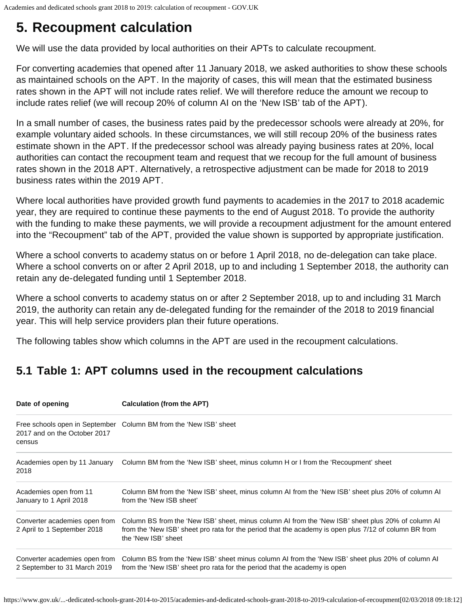# <span id="page-2-0"></span>**5. Recoupment calculation**

We will use the data provided by local authorities on their APTs to calculate recoupment.

For converting academies that opened after 11 January 2018, we asked authorities to show these schools as maintained schools on the APT. In the majority of cases, this will mean that the estimated business rates shown in the APT will not include rates relief. We will therefore reduce the amount we recoup to include rates relief (we will recoup 20% of column AI on the 'New ISB' tab of the APT).

In a small number of cases, the business rates paid by the predecessor schools were already at 20%, for example voluntary aided schools. In these circumstances, we will still recoup 20% of the business rates estimate shown in the APT. If the predecessor school was already paying business rates at 20%, local authorities can contact the recoupment team and request that we recoup for the full amount of business rates shown in the 2018 APT. Alternatively, a retrospective adjustment can be made for 2018 to 2019 business rates within the 2019 APT.

Where local authorities have provided growth fund payments to academies in the 2017 to 2018 academic year, they are required to continue these payments to the end of August 2018. To provide the authority with the funding to make these payments, we will provide a recoupment adjustment for the amount entered into the "Recoupment" tab of the APT, provided the value shown is supported by appropriate justification.

Where a school converts to academy status on or before 1 April 2018, no de-delegation can take place. Where a school converts on or after 2 April 2018, up to and including 1 September 2018, the authority can retain any de-delegated funding until 1 September 2018.

Where a school converts to academy status on or after 2 September 2018, up to and including 31 March 2019, the authority can retain any de-delegated funding for the remainder of the 2018 to 2019 financial year. This will help service providers plan their future operations.

The following tables show which columns in the APT are used in the recoupment calculations.

## **5.1 Table 1: APT columns used in the recoupment calculations**

| Date of opening                                               | Calculation (from the APT)                                                                                                                                                                                                         |  |
|---------------------------------------------------------------|------------------------------------------------------------------------------------------------------------------------------------------------------------------------------------------------------------------------------------|--|
| 2017 and on the October 2017<br>census                        | Free schools open in September Column BM from the 'New ISB' sheet                                                                                                                                                                  |  |
| Academies open by 11 January<br>2018                          | Column BM from the 'New ISB' sheet, minus column H or I from the 'Recoupment' sheet                                                                                                                                                |  |
| Academies open from 11<br>January to 1 April 2018             | Column BM from the 'New ISB' sheet, minus column AI from the 'New ISB' sheet plus 20% of column AI<br>from the 'New ISB sheet'                                                                                                     |  |
| Converter academies open from<br>2 April to 1 September 2018  | Column BS from the 'New ISB' sheet, minus column AI from the 'New ISB' sheet plus 20% of column AI<br>from the 'New ISB' sheet pro rata for the period that the academy is open plus 7/12 of column BR from<br>the 'New ISB' sheet |  |
| Converter academies open from<br>2 September to 31 March 2019 | Column BS from the 'New ISB' sheet minus column AI from the 'New ISB' sheet plus 20% of column AI<br>from the 'New ISB' sheet pro rata for the period that the academy is open                                                     |  |

https://www.gov.uk/...-dedicated-schools-grant-2014-to-2015/academies-and-dedicated-schools-grant-2018-to-2019-calculation-of-recoupment[02/03/2018 09:18:12]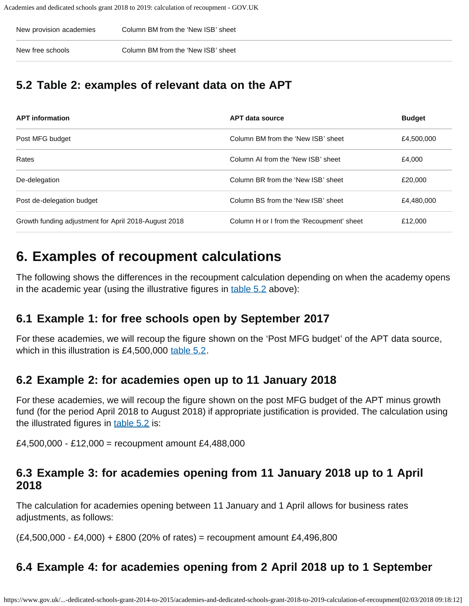| New provision academies | Column BM from the 'New ISB' sheet |
|-------------------------|------------------------------------|
| New free schools        | Column BM from the 'New ISB' sheet |

### <span id="page-3-1"></span>**5.2 Table 2: examples of relevant data on the APT**

| <b>APT</b> information                               | <b>APT data source</b>                    | <b>Budget</b> |
|------------------------------------------------------|-------------------------------------------|---------------|
| Post MFG budget                                      | Column BM from the 'New ISB' sheet        | £4,500,000    |
| Rates                                                | Column AI from the 'New ISB' sheet        | £4.000        |
| De-delegation                                        | Column BR from the 'New ISB' sheet        | £20,000       |
| Post de-delegation budget                            | Column BS from the 'New ISB' sheet        | £4,480,000    |
| Growth funding adjustment for April 2018-August 2018 | Column H or I from the 'Recoupment' sheet | £12,000       |

## <span id="page-3-0"></span>**6. Examples of recoupment calculations**

The following shows the differences in the recoupment calculation depending on when the academy opens in the academic year (using the illustrative figures in [table 5.2](#page-3-1) above):

### **6.1 Example 1: for free schools open by September 2017**

For these academies, we will recoup the figure shown on the 'Post MFG budget' of the APT data source, which in this illustration is £4,500,000 [table 5.2.](#page-3-1)

#### **6.2 Example 2: for academies open up to 11 January 2018**

For these academies, we will recoup the figure shown on the post MFG budget of the APT minus growth fund (for the period April 2018 to August 2018) if appropriate justification is provided. The calculation using the illustrated figures in [table 5.2](#page-3-1) is:

£4,500,000 - £12,000 = recoupment amount £4,488,000

#### **6.3 Example 3: for academies opening from 11 January 2018 up to 1 April 2018**

The calculation for academies opening between 11 January and 1 April allows for business rates adjustments, as follows:

 $(E4,500,000 - E4,000) + E800$  (20% of rates) = recoupment amount £4,496,800

### **6.4 Example 4: for academies opening from 2 April 2018 up to 1 September**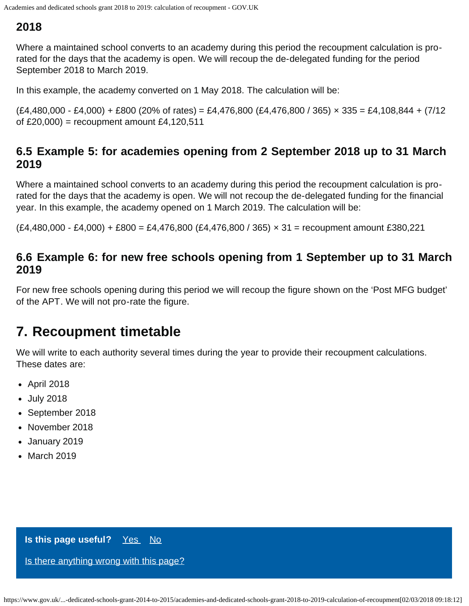#### **2018**

Where a maintained school converts to an academy during this period the recoupment calculation is prorated for the days that the academy is open. We will recoup the de-delegated funding for the period September 2018 to March 2019.

In this example, the academy converted on 1 May 2018. The calculation will be:

 $(E4,480,000 - E4,000) + E800 (20\% of rates) = E4,476,800 (E4,476,800 / 365) \times 335 = E4,108,844 + (7/12)$ of  $£20,000$  = recoupment amount  $£4,120,511$ 

#### **6.5 Example 5: for academies opening from 2 September 2018 up to 31 March 2019**

Where a maintained school converts to an academy during this period the recoupment calculation is prorated for the days that the academy is open. We will not recoup the de-delegated funding for the financial year. In this example, the academy opened on 1 March 2019. The calculation will be:

 $(E4,480,000 - E4,000) + E800 = E4,476,800 (E4,476,800 / 365) \times 31 =$  recoupment amount £380,221

#### **6.6 Example 6: for new free schools opening from 1 September up to 31 March 2019**

For new free schools opening during this period we will recoup the figure shown on the 'Post MFG budget' of the APT. We will not pro-rate the figure.

## <span id="page-4-0"></span>**7. Recoupment timetable**

We will write to each authority several times during the year to provide their recoupment calculations. These dates are:

- April 2018
- July 2018
- September 2018
- November 2018
- January 2019
- March 2019

#### **Is this page useful?** [Yes No](https://www.gov.uk/contact/govuk)

[Is there anything wrong with this page?](https://www.gov.uk/contact/govuk)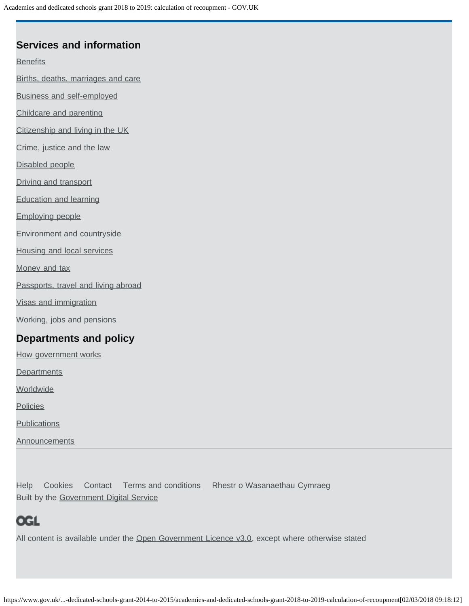#### **Services and information**

**[Benefits](https://www.gov.uk/browse/benefits)** 

[Births, deaths, marriages and care](https://www.gov.uk/browse/births-deaths-marriages)

[Business and self-employed](https://www.gov.uk/browse/business)

[Childcare and parenting](https://www.gov.uk/browse/childcare-parenting)

[Citizenship and living in the UK](https://www.gov.uk/browse/citizenship)

[Crime, justice and the law](https://www.gov.uk/browse/justice)

[Disabled people](https://www.gov.uk/browse/disabilities)

[Driving and transport](https://www.gov.uk/browse/driving)

[Education and learning](https://www.gov.uk/browse/education)

[Employing people](https://www.gov.uk/browse/employing-people)

[Environment and countryside](https://www.gov.uk/browse/environment-countryside)

[Housing and local services](https://www.gov.uk/browse/housing-local-services)

[Money and tax](https://www.gov.uk/browse/tax)

[Passports, travel and living abroad](https://www.gov.uk/browse/abroad)

[Visas and immigration](https://www.gov.uk/browse/visas-immigration)

[Working, jobs and pensions](https://www.gov.uk/browse/working)

### **Departments and policy**

[How government works](https://www.gov.uk/government/how-government-works)

**[Departments](https://www.gov.uk/government/organisations)** 

**[Worldwide](https://www.gov.uk/world)** 

**[Policies](https://www.gov.uk/government/policies)** 

**[Publications](https://www.gov.uk/government/publications)** 

**[Announcements](https://www.gov.uk/government/announcements)** 

[Help](https://www.gov.uk/help) [Cookies](https://www.gov.uk/help/cookies) [Contact](https://www.gov.uk/contact) [Terms and conditions](https://www.gov.uk/help/terms-conditions) [Rhestr o Wasanaethau Cymraeg](https://www.gov.uk/cymraeg) Built by the [Government Digital Service](https://www.gov.uk/government/organisations/government-digital-service)

## **OGL**

All content is available under the [Open Government Licence v3.0,](https://www.nationalarchives.gov.uk/doc/open-government-licence/version/3/) except where otherwise stated